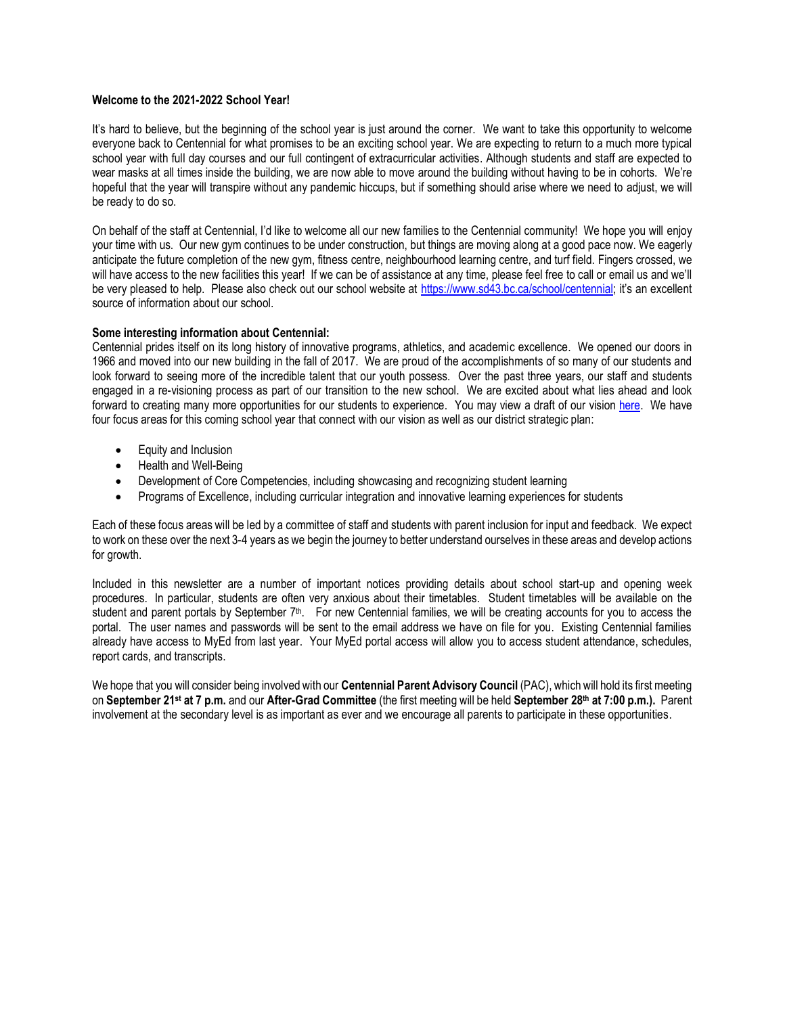#### **Welcome to the 2021-2022 School Year!**

It's hard to believe, but the beginning of the school year is just around the corner. We want to take this opportunity to welcome everyone back to Centennial for what promises to be an exciting school year. We are expecting to return to a much more typical school year with full day courses and our full contingent of extracurricular activities. Although students and staff are expected to wear masks at all times inside the building, we are now able to move around the building without having to be in cohorts. We're hopeful that the year will transpire without any pandemic hiccups, but if something should arise where we need to adjust, we will be ready to do so.

On behalf of the staff at Centennial, I'd like to welcome all our new families to the Centennial community! We hope you will enjoy your time with us. Our new gym continues to be under construction, but things are moving along at a good pace now. We eagerly anticipate the future completion of the new gym, fitness centre, neighbourhood learning centre, and turf field. Fingers crossed, we will have access to the new facilities this year! If we can be of assistance at any time, please feel free to call or email us and we'll be very pleased to help. Please also check out our school website at<https://www.sd43.bc.ca/school/centennial>; it's an excellent source of information about our school.

#### **Some interesting information about Centennial:**

Centennial prides itself on its long history of innovative programs, athletics, and academic excellence. We opened our doors in 1966 and moved into our new building in the fall of 2017. We are proud of the accomplishments of so many of our students and look forward to seeing more of the incredible talent that our youth possess. Over the past three years, our staff and students engaged in a re-visioning process as part of our transition to the new school. We are excited about what lies ahead and look forward to creating many more opportunities for our students to experience. You may view a draft of our vision [here.](https://sd43bcca-my.sharepoint.com/:b:/g/personal/aciolfitto_sd43_bc_ca/EecAeYbOq8pAu32vMofMY2sBOP0W-zs4ywINShiQBibyvA?e=DpqoRI) We have four focus areas for this coming school year that connect with our vision as well as our district strategic plan:

- Equity and Inclusion
- Health and Well-Being
- Development of Core Competencies, including showcasing and recognizing student learning
- Programs of Excellence, including curricular integration and innovative learning experiences for students

Each of these focus areas will be led by a committee of staff and students with parent inclusion for input and feedback. We expect to work on these over the next 3-4 years as we begin the journey to better understand ourselves in these areas and develop actions for growth.

Included in this newsletter are a number of important notices providing details about school start-up and opening week procedures. In particular, students are often very anxious about their timetables. Student timetables will be available on the student and parent portals by September 7<sup>th</sup>. For new Centennial families, we will be creating accounts for you to access the portal. The user names and passwords will be sent to the email address we have on file for you. Existing Centennial families already have access to MyEd from last year. Your MyEd portal access will allow you to access student attendance, schedules, report cards, and transcripts.

We hope that you will consider being involved with our **Centennial Parent Advisory Council** (PAC), which will hold its first meeting on **September 21 st at 7 p.m.** and our **After-Grad Committee** (the first meeting will be held **September 28th at 7:00 p.m.).** Parent involvement at the secondary level is as important as ever and we encourage all parents to participate in these opportunities.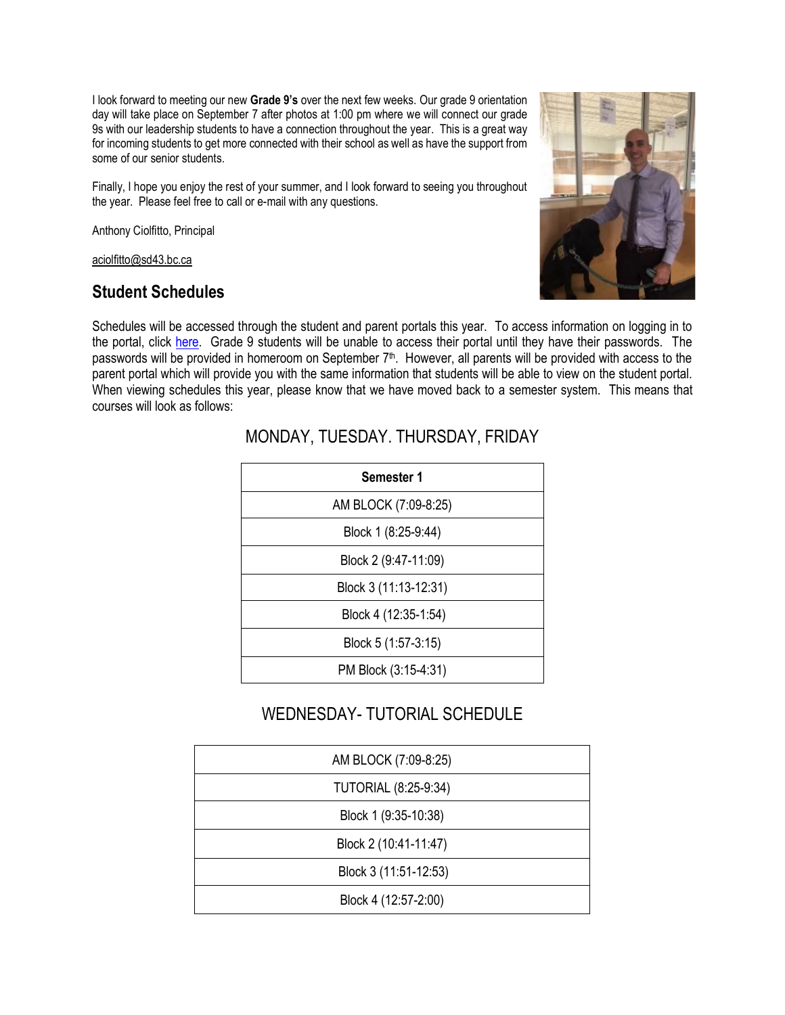I look forward to meeting our new **Grade 9's** over the next few weeks. Our grade 9 orientation day will take place on September 7 after photos at 1:00 pm where we will connect our grade 9s with our leadership students to have a connection throughout the year. This is a great way for incoming students to get more connected with their school as well as have the support from some of our senior students.

Finally, I hope you enjoy the rest of your summer, and I look forward to seeing you throughout the year. Please feel free to call or e-mail with any questions.

Anthony Ciolfitto, Principal

[aciolfitto@sd43.bc.ca](mailto:aciolfitto@sd43.bc.ca)

#### **Student Schedules**



Schedules will be accessed through the student and parent portals this year. To access information on logging in to the portal, click [here.](https://sd43bcca-my.sharepoint.com/:b:/g/personal/bking_sd43_bc_ca/ETnP7u4e-TRPkZDxMfeSVswBFDEjnFTEAmppFm-r-OQ_mQ?e=PR8PXX) Grade 9 students will be unable to access their portal until they have their passwords. The passwords will be provided in homeroom on September 7<sup>th</sup>. However, all parents will be provided with access to the parent portal which will provide you with the same information that students will be able to view on the student portal. When viewing schedules this year, please know that we have moved back to a semester system. This means that courses will look as follows:

| Semester 1            |
|-----------------------|
| AM BLOCK (7:09-8:25)  |
| Block 1 (8:25-9:44)   |
| Block 2 (9:47-11:09)  |
| Block 3 (11:13-12:31) |
| Block 4 (12:35-1:54)  |
| Block 5 (1:57-3:15)   |
| PM Block (3:15-4:31)  |

### MONDAY, TUESDAY. THURSDAY, FRIDAY

## WEDNESDAY- TUTORIAL SCHEDULE

| AM BLOCK (7:09-8:25)        |
|-----------------------------|
| <b>TUTORIAL (8:25-9:34)</b> |
| Block 1 (9:35-10:38)        |
| Block 2 (10:41-11:47)       |
| Block 3 (11:51-12:53)       |
| Block 4 (12:57-2:00)        |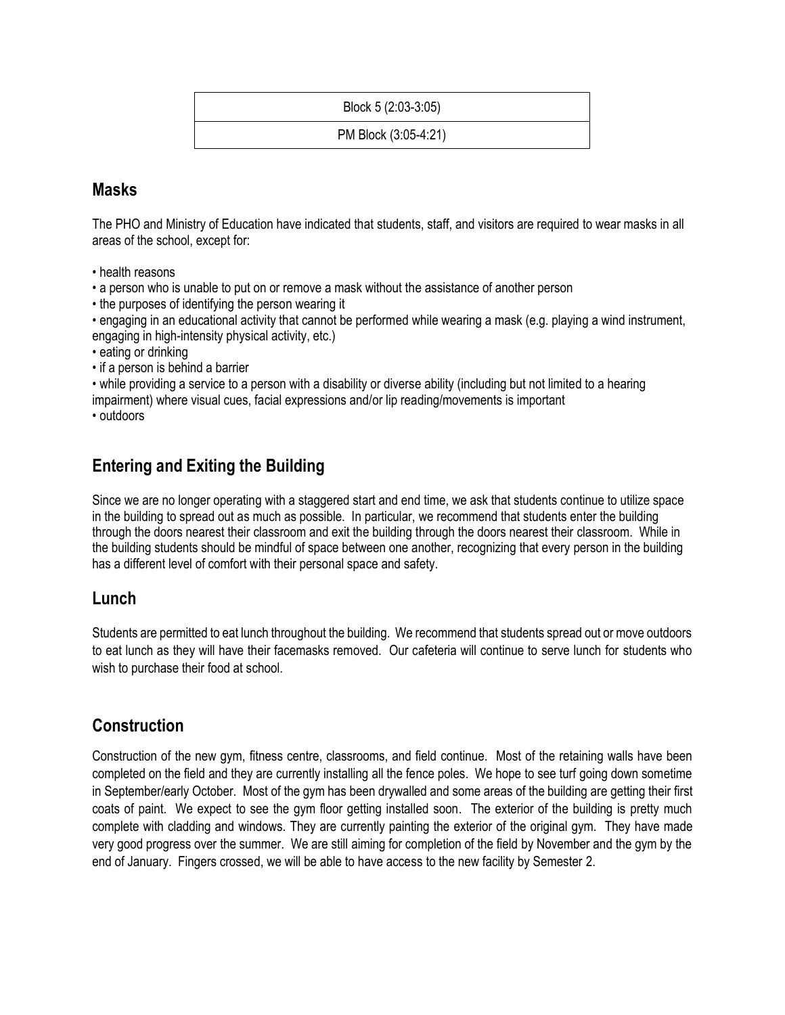Block 5 (2:03-3:05)

PM Block (3:05-4:21)

#### **Masks**

The PHO and Ministry of Education have indicated that students, staff, and visitors are required to wear masks in all areas of the school, except for:

- health reasons
- a person who is unable to put on or remove a mask without the assistance of another person
- the purposes of identifying the person wearing it

• engaging in an educational activity that cannot be performed while wearing a mask (e.g. playing a wind instrument, engaging in high-intensity physical activity, etc.)

- eating or drinking
- if a person is behind a barrier

• while providing a service to a person with a disability or diverse ability (including but not limited to a hearing impairment) where visual cues, facial expressions and/or lip reading/movements is important

• outdoors

## **Entering and Exiting the Building**

Since we are no longer operating with a staggered start and end time, we ask that students continue to utilize space in the building to spread out as much as possible. In particular, we recommend that students enter the building through the doors nearest their classroom and exit the building through the doors nearest their classroom. While in the building students should be mindful of space between one another, recognizing that every person in the building has a different level of comfort with their personal space and safety.

#### **Lunch**

Students are permitted to eat lunch throughout the building. We recommend that students spread out or move outdoors to eat lunch as they will have their facemasks removed. Our cafeteria will continue to serve lunch for students who wish to purchase their food at school.

### **Construction**

Construction of the new gym, fitness centre, classrooms, and field continue. Most of the retaining walls have been completed on the field and they are currently installing all the fence poles. We hope to see turf going down sometime in September/early October. Most of the gym has been drywalled and some areas of the building are getting their first coats of paint. We expect to see the gym floor getting installed soon. The exterior of the building is pretty much complete with cladding and windows. They are currently painting the exterior of the original gym. They have made very good progress over the summer. We are still aiming for completion of the field by November and the gym by the end of January. Fingers crossed, we will be able to have access to the new facility by Semester 2.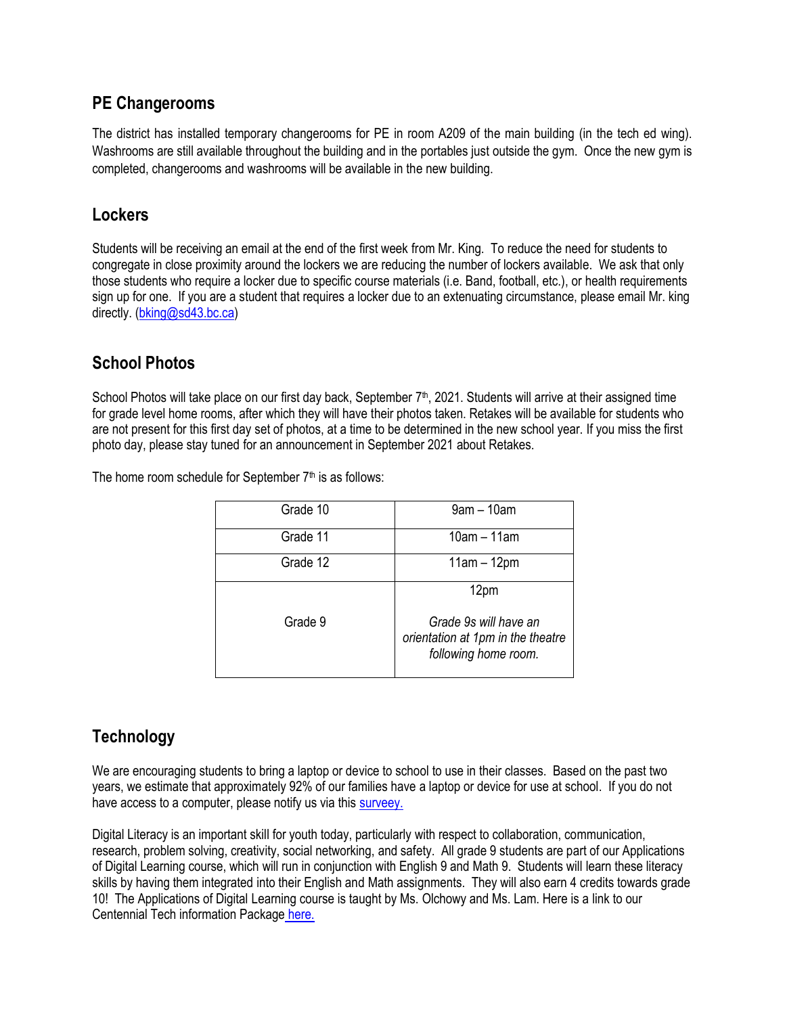#### **PE Changerooms**

The district has installed temporary changerooms for PE in room A209 of the main building (in the tech ed wing). Washrooms are still available throughout the building and in the portables just outside the gym. Once the new gym is completed, changerooms and washrooms will be available in the new building.

#### **Lockers**

Students will be receiving an email at the end of the first week from Mr. King. To reduce the need for students to congregate in close proximity around the lockers we are reducing the number of lockers available. We ask that only those students who require a locker due to specific course materials (i.e. Band, football, etc.), or health requirements sign up for one. If you are a student that requires a locker due to an extenuating circumstance, please email Mr. king directly. [\(bking@sd43.bc.ca\)](mailto:bking@sd43.bc.ca)

### **School Photos**

School Photos will take place on our first day back, September  $7<sup>th</sup>$ , 2021. Students will arrive at their assigned time for grade level home rooms, after which they will have their photos taken. Retakes will be available for students who are not present for this first day set of photos, at a time to be determined in the new school year. If you miss the first photo day, please stay tuned for an announcement in September 2021 about Retakes.

The home room schedule for September  $7<sup>th</sup>$  is as follows:

| Grade 10 | $9am - 10am$                                                       |
|----------|--------------------------------------------------------------------|
| Grade 11 | $10am - 11am$                                                      |
| Grade 12 | $11am - 12pm$                                                      |
| Grade 9  | 12pm<br>Grade 9s will have an<br>orientation at 1pm in the theatre |
|          | following home room.                                               |

## **Technology**

We are encouraging students to bring a laptop or device to school to use in their classes. Based on the past two years, we estimate that approximately 92% of our families have a laptop or device for use at school. If you do not have access to a computer, please notify us via this [surveey.](https://forms.office.com/Pages/ResponsePage.aspx?id=74xl2ZICUkKZJWRC3iSkSz_QdS3Vnq9Gj_CBYG0hkthUOFpOWFhVNjFDMlZaVVM5UUs1RVdCVUdQVi4u)

Digital Literacy is an important skill for youth today, particularly with respect to collaboration, communication, research, problem solving, creativity, social networking, and safety. All grade 9 students are part of our Applications of Digital Learning course, which will run in conjunction with English 9 and Math 9. Students will learn these literacy skills by having them integrated into their English and Math assignments. They will also earn 4 credits towards grade 10! The Applications of Digital Learning course is taught by Ms. Olchowy and Ms. Lam. Here is a link to our Centennial Tech information Package [here.](https://sd43bcca-my.sharepoint.com/:b:/g/personal/bking_sd43_bc_ca/Ec5LyIsrnNhKqFccSHNxhFYBrPG6gO1WqjMmsLzFAvPzEw?e=5wp2S2)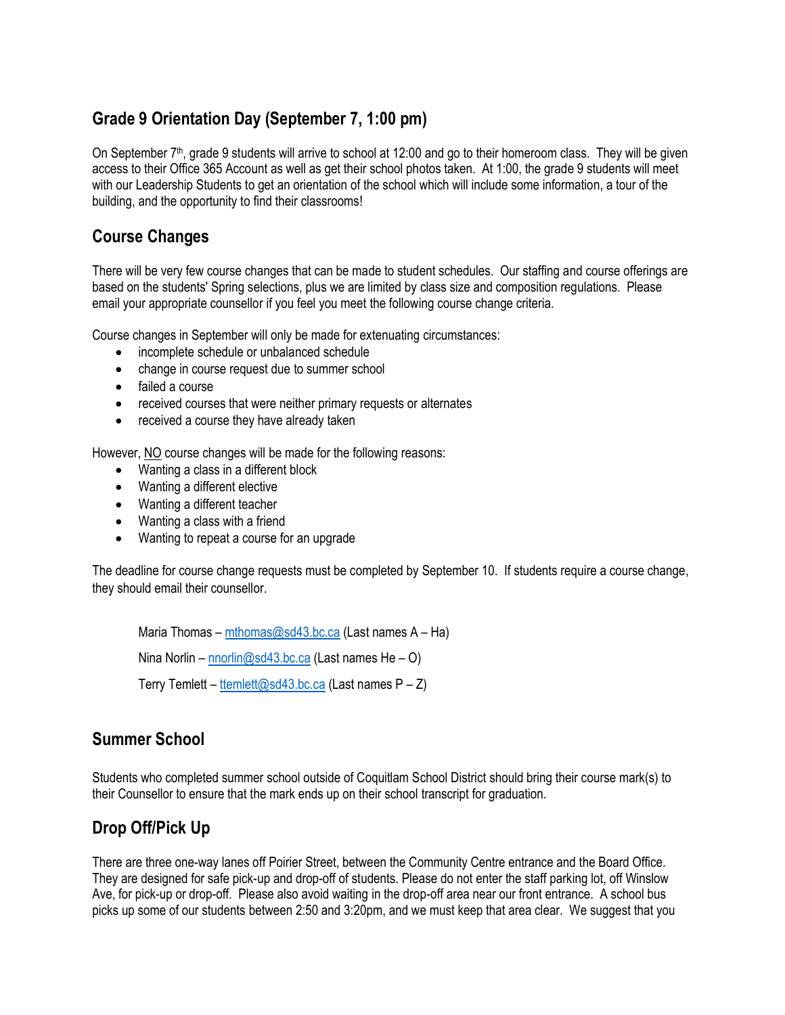## **Grade 9 Orientation Day (September 7, 1:00 pm)**

On September  $7<sup>th</sup>$ , grade 9 students will arrive to school at 12:00 and go to their homeroom class. They will be given access to their Office 365 Account as well as get their school photos taken. At 1:00, the grade 9 students will meet with our Leadership Students to get an orientation of the school which will include some information, a tour of the building, and the opportunity to find their classrooms!

## **Course Changes**

There will be very few course changes that can be made to student schedules. Our staffing and course offerings are based on the students' Spring selections, plus we are limited by class size and composition regulations. Please email your appropriate counsellor if you feel you meet the following course change criteria.

Course changes in September will only be made for extenuating circumstances:

- incomplete schedule or unbalanced schedule
- change in course request due to summer school
- failed a course
- received courses that were neither primary requests or alternates
- received a course they have already taken

However, NO course changes will be made for the following reasons:

- Wanting a class in a different block
- Wanting a different elective
- Wanting a different teacher
- Wanting a class with a friend
- Wanting to repeat a course for an upgrade

The deadline for course change requests must be completed by September 10. If students require a course change, they should email their counsellor.

Maria Thomas – [mthomas@sd43.bc.ca](mailto:mthomas@sd43.bc.ca) (Last names  $A$  – Ha) Nina Norlin – [nnorlin@sd43.bc.ca](mailto:nnorlin@sd43.bc.ca) (Last names He – O) Terry Temlett – [ttemlett@sd43.bc.ca](mailto:ttemlett@sd43.bc.ca) (Last names  $P - Z$ )

## **Summer School**

Students who completed summer school outside of Coquitlam School District should bring their course mark(s) to their Counsellor to ensure that the mark ends up on their school transcript for graduation.

## **Drop Off/Pick Up**

There are three one-way lanes off Poirier Street, between the Community Centre entrance and the Board Office. They are designed for safe pick-up and drop-off of students. Please do not enter the staff parking lot, off Winslow Ave, for pick-up or drop-off. Please also avoid waiting in the drop-off area near our front entrance. A school bus picks up some of our students between 2:50 and 3:20pm, and we must keep that area clear. We suggest that you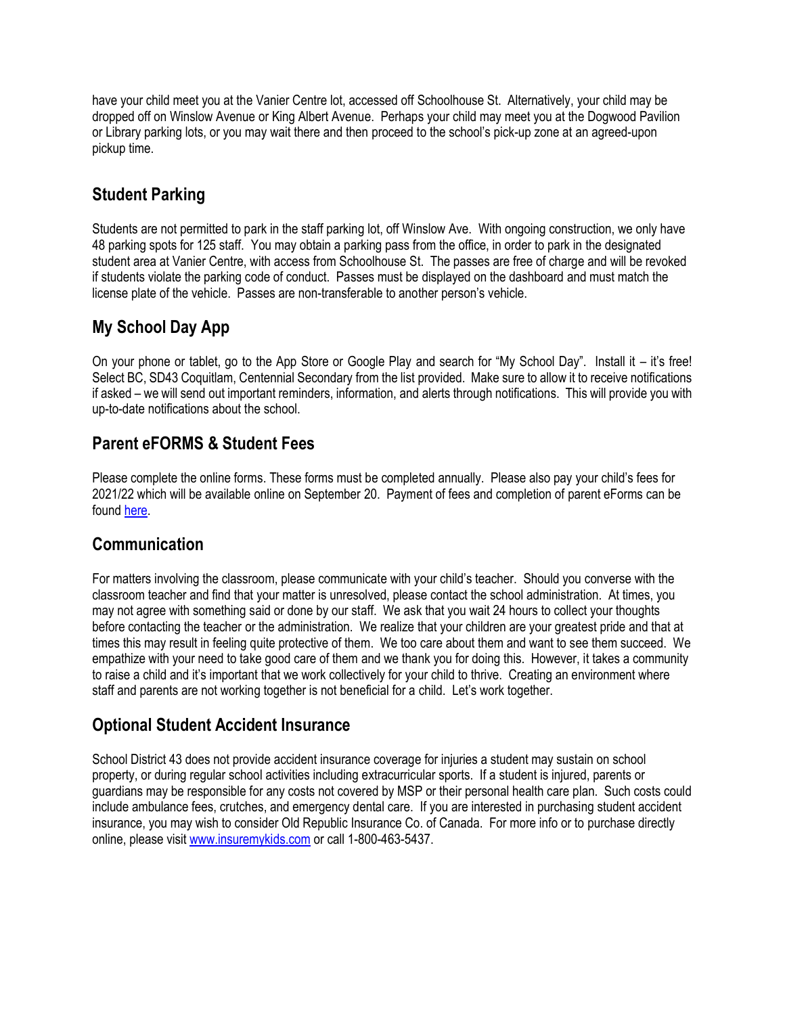have your child meet you at the Vanier Centre lot, accessed off Schoolhouse St. Alternatively, your child may be dropped off on Winslow Avenue or King Albert Avenue. Perhaps your child may meet you at the Dogwood Pavilion or Library parking lots, or you may wait there and then proceed to the school's pick-up zone at an agreed-upon pickup time.

## **Student Parking**

Students are not permitted to park in the staff parking lot, off Winslow Ave. With ongoing construction, we only have 48 parking spots for 125 staff. You may obtain a parking pass from the office, in order to park in the designated student area at Vanier Centre, with access from Schoolhouse St. The passes are free of charge and will be revoked if students violate the parking code of conduct. Passes must be displayed on the dashboard and must match the license plate of the vehicle. Passes are non-transferable to another person's vehicle.

## **My School Day App**

On your phone or tablet, go to the App Store or Google Play and search for "My School Day". Install it – it's free! Select BC, SD43 Coquitlam, Centennial Secondary from the list provided. Make sure to allow it to receive notifications if asked – we will send out important reminders, information, and alerts through notifications. This will provide you with up-to-date notifications about the school.

## **Parent eFORMS & Student Fees**

Please complete the online forms. These forms must be completed annually. Please also pay your child's fees for 2021/22 which will be available online on September 20. Payment of fees and completion of parent eForms can be found [here.](https://www.sd43.bc.ca/school/centennial/Pages/StudentFees.aspx#/=)

### **Communication**

For matters involving the classroom, please communicate with your child's teacher. Should you converse with the classroom teacher and find that your matter is unresolved, please contact the school administration. At times, you may not agree with something said or done by our staff. We ask that you wait 24 hours to collect your thoughts before contacting the teacher or the administration. We realize that your children are your greatest pride and that at times this may result in feeling quite protective of them. We too care about them and want to see them succeed. We empathize with your need to take good care of them and we thank you for doing this. However, it takes a community to raise a child and it's important that we work collectively for your child to thrive. Creating an environment where staff and parents are not working together is not beneficial for a child. Let's work together.

## **Optional Student Accident Insurance**

School District 43 does not provide accident insurance coverage for injuries a student may sustain on school property, or during regular school activities including extracurricular sports. If a student is injured, parents or guardians may be responsible for any costs not covered by MSP or their personal health care plan. Such costs could include ambulance fees, crutches, and emergency dental care. If you are interested in purchasing student accident insurance, you may wish to consider Old Republic Insurance Co. of Canada. For more info or to purchase directly online, please visit [www.insuremykids.com](http://www.insuremykids.com/) or call 1-800-463-5437.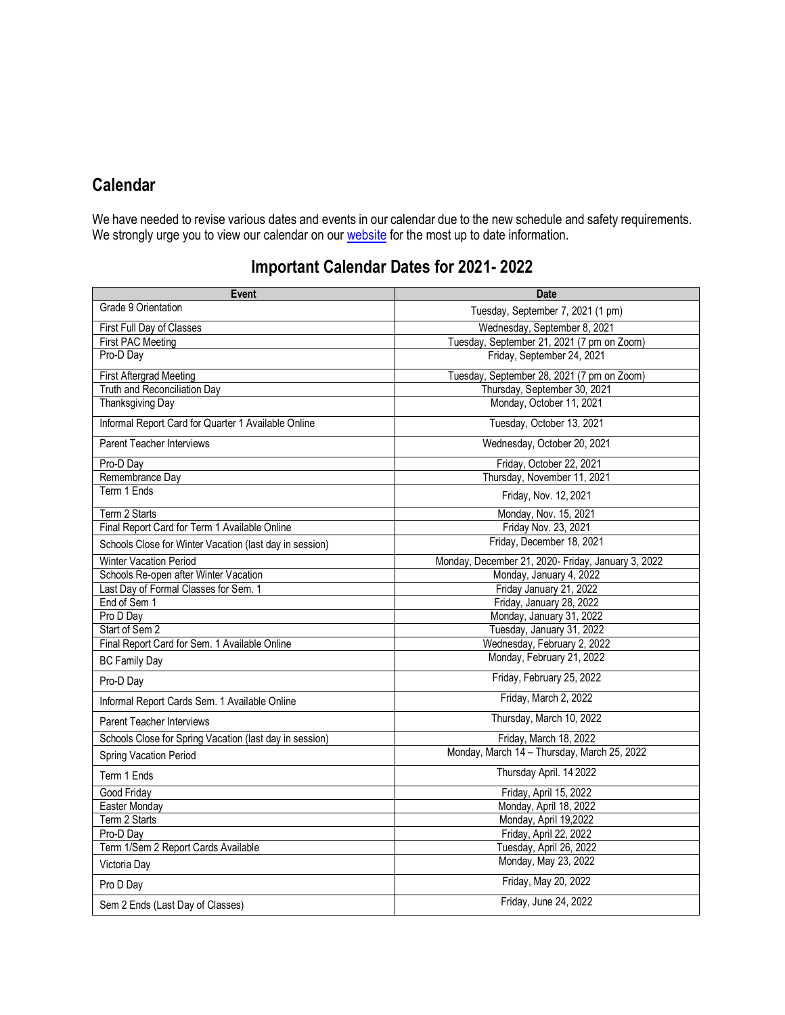# **Calendar**

We have needed to revise various dates and events in our calendar due to the new schedule and safety requirements. We strongly urge you to view our calendar on our [website](https://www.sd43.bc.ca/School/centennial/Pages/default.aspx#/=) for the most up to date information.

# **Important Calendar Dates for 2021- 2022**

| <b>Event</b>                                            | <b>Date</b>                                        |
|---------------------------------------------------------|----------------------------------------------------|
| Grade 9 Orientation                                     | Tuesday, September 7, 2021 (1 pm)                  |
| First Full Day of Classes                               | Wednesday, September 8, 2021                       |
| <b>First PAC Meeting</b>                                | Tuesday, September 21, 2021 (7 pm on Zoom)         |
| Pro-D Day                                               | Friday, September 24, 2021                         |
| <b>First Aftergrad Meeting</b>                          | Tuesday, September 28, 2021 (7 pm on Zoom)         |
| Truth and Reconciliation Day                            | Thursday, September 30, 2021                       |
| Thanksgiving Day                                        | Monday, October 11, 2021                           |
| Informal Report Card for Quarter 1 Available Online     | Tuesday, October 13, 2021                          |
| <b>Parent Teacher Interviews</b>                        | Wednesday, October 20, 2021                        |
| Pro-D Day                                               | Friday, October 22, 2021                           |
| Remembrance Day                                         | Thursday, November 11, 2021                        |
| Term 1 Ends                                             | Friday, Nov. 12, 2021                              |
| Term 2 Starts                                           | Monday, Nov. 15, 2021                              |
| Final Report Card for Term 1 Available Online           | Friday Nov. 23, 2021                               |
| Schools Close for Winter Vacation (last day in session) | Friday, December 18, 2021                          |
| Winter Vacation Period                                  | Monday, December 21, 2020- Friday, January 3, 2022 |
| Schools Re-open after Winter Vacation                   | Monday, January 4, 2022                            |
| Last Day of Formal Classes for Sem. 1                   | Friday January 21, 2022                            |
| End of Sem 1                                            | Friday, January 28, 2022                           |
| Pro D Day                                               | Monday, January 31, 2022                           |
| Start of Sem 2                                          | Tuesday, January 31, 2022                          |
| Final Report Card for Sem. 1 Available Online           | Wednesday, February 2, 2022                        |
| <b>BC Family Day</b>                                    | Monday, February 21, 2022                          |
| Pro-D Day                                               | Friday, February 25, 2022                          |
| Informal Report Cards Sem. 1 Available Online           | Friday, March 2, 2022                              |
| <b>Parent Teacher Interviews</b>                        | Thursday, March 10, 2022                           |
| Schools Close for Spring Vacation (last day in session) | Friday, March 18, 2022                             |
| Spring Vacation Period                                  | Monday, March 14 - Thursday, March 25, 2022        |
| Term 1 Ends                                             | Thursday April. 14 2022                            |
| Good Friday                                             | Friday, April 15, 2022                             |
| Easter Monday                                           | Monday, April 18, 2022                             |
| Term 2 Starts                                           | Monday, April 19,2022                              |
| Pro-D Day                                               | Friday, April 22, 2022                             |
| Term 1/Sem 2 Report Cards Available                     | Tuesday, April 26, 2022                            |
| Victoria Day                                            | Monday, May 23, 2022                               |
| Pro D Day                                               | Friday, May 20, 2022                               |
| Sem 2 Ends (Last Day of Classes)                        | Friday, June 24, 2022                              |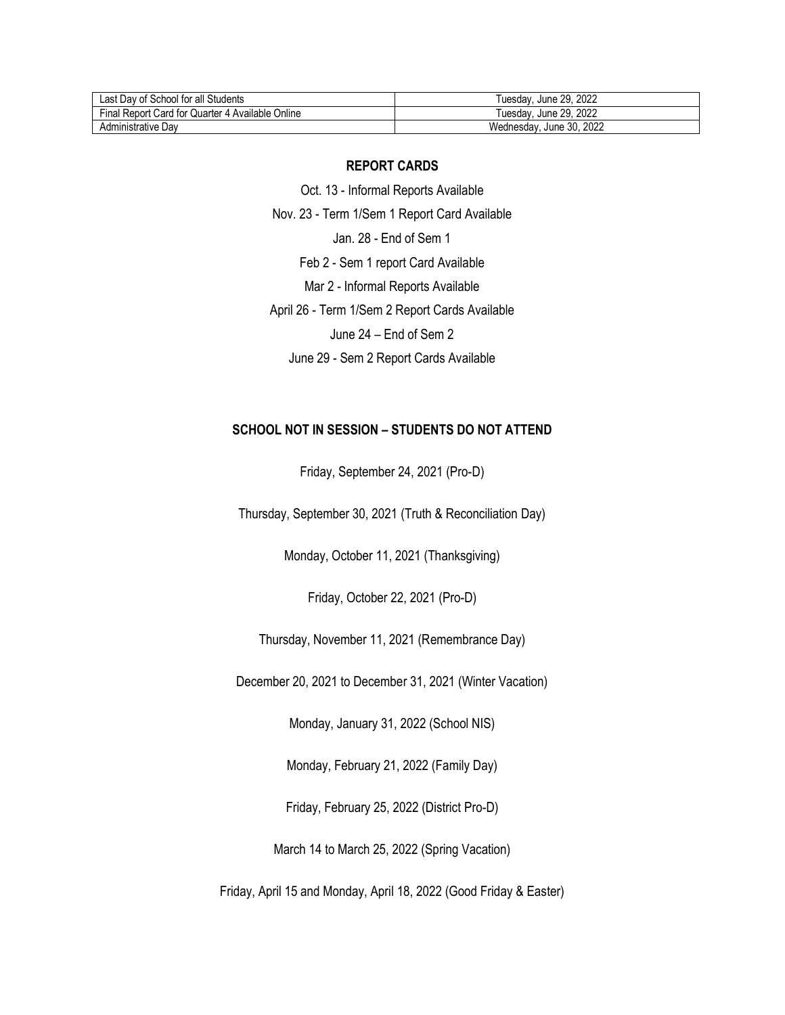| Last Day of School for all Students              | June 29, 2022<br>l uesdav   |
|--------------------------------------------------|-----------------------------|
| Final Report Card for Quarter 4 Available Online | June 29, 2022<br>ı uesdav   |
| Administrative Dav                               | June 30, 2022<br>Wednesdav. |

#### **REPORT CARDS**

Oct. 13 - Informal Reports Available Nov. 23 - Term 1/Sem 1 Report Card Available Jan. 28 - End of Sem 1 Feb 2 - Sem 1 report Card Available Mar 2 - Informal Reports Available April 26 - Term 1/Sem 2 Report Cards Available June 24 – End of Sem 2 June 29 - Sem 2 Report Cards Available

#### **SCHOOL NOT IN SESSION – STUDENTS DO NOT ATTEND**

Friday, September 24, 2021 (Pro-D)

Thursday, September 30, 2021 (Truth & Reconciliation Day)

Monday, October 11, 2021 (Thanksgiving)

Friday, October 22, 2021 (Pro-D)

Thursday, November 11, 2021 (Remembrance Day)

December 20, 2021 to December 31, 2021 (Winter Vacation)

Monday, January 31, 2022 (School NIS)

Monday, February 21, 2022 (Family Day)

Friday, February 25, 2022 (District Pro-D)

March 14 to March 25, 2022 (Spring Vacation)

Friday, April 15 and Monday, April 18, 2022 (Good Friday & Easter)